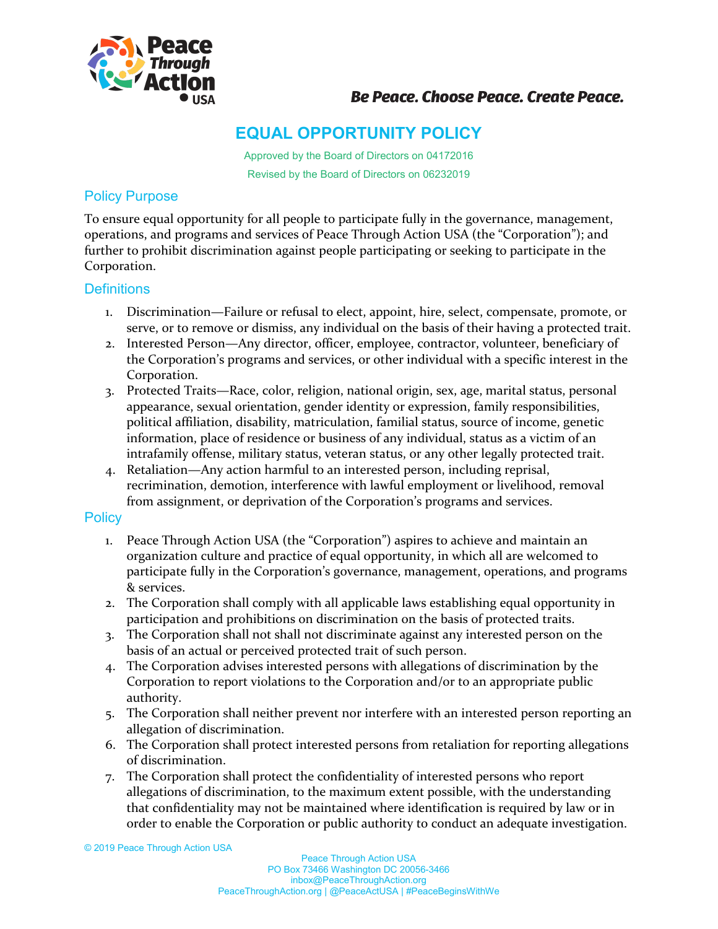

## **Be Peace. Choose Peace. Create Peace.**

# **EQUAL OPPORTUNITY POLICY**

Approved by the Board of Directors on 04172016 Revised by the Board of Directors on 06232019

### Policy Purpose

To ensure equal opportunity for all people to participate fully in the governance, management, operations, and programs and services of Peace Through Action USA (the "Corporation"); and further to prohibit discrimination against people participating or seeking to participate in the Corporation.

#### **Definitions**

- 1. Discrimination—Failure or refusal to elect, appoint, hire, select, compensate, promote, or serve, or to remove or dismiss, any individual on the basis of their having a protected trait.
- 2. Interested Person—Any director, officer, employee, contractor, volunteer, beneficiary of the Corporation's programs and services, or other individual with a specific interest in the Corporation.
- 3. Protected Traits—Race, color, religion, national origin, sex, age, marital status, personal appearance, sexual orientation, gender identity or expression, family responsibilities, political affiliation, disability, matriculation, familial status, source of income, genetic information, place of residence or business of any individual, status as a victim of an intrafamily offense, military status, veteran status, or any other legally protected trait.
- 4. Retaliation—Any action harmful to an interested person, including reprisal, recrimination, demotion, interference with lawful employment or livelihood, removal from assignment, or deprivation of the Corporation's programs and services.

#### **Policy**

- 1. Peace Through Action USA (the "Corporation") aspires to achieve and maintain an organization culture and practice of equal opportunity, in which all are welcomed to participate fully in the Corporation's governance, management, operations, and programs & services.
- 2. The Corporation shall comply with all applicable laws establishing equal opportunity in participation and prohibitions on discrimination on the basis of protected traits.
- 3. The Corporation shall not shall not discriminate against any interested person on the basis of an actual or perceived protected trait of such person.
- 4. The Corporation advises interested persons with allegations of discrimination by the Corporation to report violations to the Corporation and/or to an appropriate public authority.
- 5. The Corporation shall neither prevent nor interfere with an interested person reporting an allegation of discrimination.
- 6. The Corporation shall protect interested persons from retaliation for reporting allegations of discrimination.
- 7. The Corporation shall protect the confidentiality of interested persons who report allegations of discrimination, to the maximum extent possible, with the understanding that confidentiality may not be maintained where identification is required by law or in order to enable the Corporation or public authority to conduct an adequate investigation.

© 2019 Peace Through Action USA